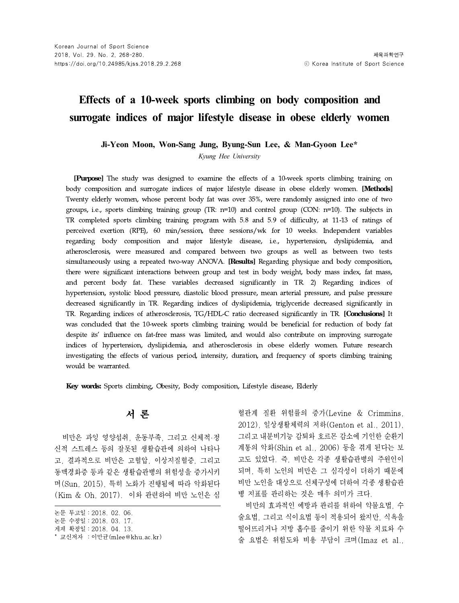# **Effects of a 10-week sports climbing on body composition and surrogate indices of major lifestyle disease in obese elderly women**

**Ji-Yeon Moon, Won-Sang Jung, Byung-Sun Lee, & Man-Gyoon Lee\***

*Kyung Hee University*

**[Purpose]** The study was designed to examine the effects of a 10-week sports climbing training on body composition and surrogate indices of major lifestyle disease in obese elderly women. **[Methods]** Twenty elderly women, whose percent body fat was over 35%, were randomly assigned into one of two groups, i.e., sports climbing training group (TR: n=10) and control group (CON: n=10). The subjects in TR completed sports climbing training program with 5.8 and 5.9 of difficulty, at 11-13 of ratings of perceived exertion (RPE), 60 min/session, three sessions/wk for 10 weeks. Independent variables regarding body composition and major lifestyle disease, i.e., hypertension, dyslipidemia, and atherosclerosis, were measured and compared between two groups as well as between two tests simultaneously using a repeated two-way ANOVA. **[Results]** Regarding physique and body composition, there were significant interactions between group and test in body weight, body mass index, fat mass, and percent body fat.These variables decreased significantly in TR. 2) Regarding indices of hypertension, systolic blood pressure, diastolic blood pressure, mean arterial pressure, and pulse pressure decreased significantly in TR. Regarding indices of dyslipidemia, triglyceride decreased significantly in TR. Regarding indices of atherosclerosis, TG/HDL-C ratio decreased significantly in TR. **[Conclusions]** It was concluded that the 10-week sports climbing training would be beneficial for reduction of body fat despite its' influence on fat-free mass was limited, and would also contribute on improving surrogate indices of hypertension, dyslipidemia, and atherosclerosis in obese elderly women. Future research investigating the effects of various period, intensity, duration, and frequency of sports climbing training would be warranted.

**Key words:** Sports climbing, Obesity, Body composition, Lifestyle disease, Elderly

# 서 론

비만은 과잉 영양섭취, 운동부족, 그리고 신체적 정 신적 스트레스 등의 잘못된 생활습관에 의하여 나타나 고, 결과적으로 비만은 고혈압, 이상지질혈증, 그리고 동맥경화증 등과 같은 생활습관병의 위험성을 증가시키 며(Sun, 2015), 특히 노화가 진행됨에 따라 악화된다 (Kim & Oh, 2017). 이와 관련하여 비만 노인은 심

혈관계 질환 위험률의 증가(Levine & Crimmins, 2012), 일상생활체력의 저하(Genton et al., 2011), 그리고 내분비기능 감퇴와 호르몬 감소에 기인한 순환기 계통의 악화(Shin et al., 2006) 등을 겪게 된다는 보 고도 있었다. 즉, 비만은 각종 생활습관병의 주원인이 되며, 특히 노인의 비만은 그 심각성이 더하기 때문에 비만 노인을 대상으로 신체구성에 더하여 각종 생활습관 병 지표를 관리하는 것은 매우 의미가 크다.

비만의 효과적인 예방과 관리를 위하여 약물요법, 수 술요법, 그리고 식이요법 등이 적용되어 왔지만, 식욕을 떨어뜨리거나 지방 흡수를 줄이기 위한 약물 치료와 수 술 요법은 위험도와 비용 부담이 크며(Imaz et al.,

논문 투고일∶2018. 02. 06.

논문 수정일∶2018. 03. 17.

게재 확정일∶2018. 04. 13.

<sup>\*</sup> 교신저자 ∶이만균(mlee@khu.ac.kr)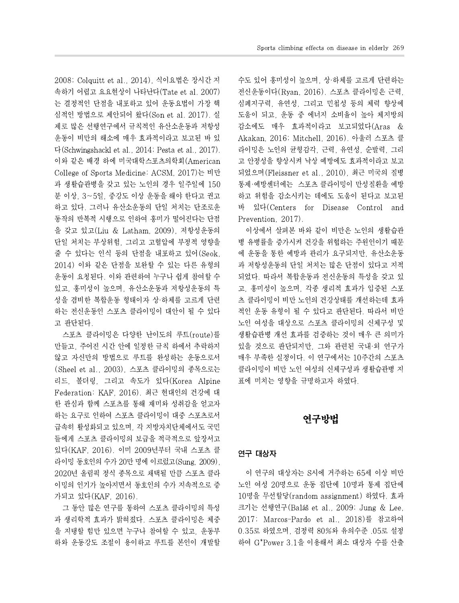2008; Colquitt et al., 2014), 식이요법은 장시간 지 속하기 어렵고 요요현상이 나타난다(Tate et al. 2007) 는 결정적인 단점을 내포하고 있어 운동요법이 가장 핵 심적인 방법으로 제안되어 왔다(Son et al. 2017). 실 제로 많은 선행연구에서 규칙적인 유산소운동과 저항성 운동이 비만의 해소에 매우 효과적이라고 보고된 바 있

다(Schwingshackl et al., 2014; Pesta et al., 2017). 이와 같은 배경 하에 미국대학스포츠의학회(American College of Sports Medicine: ACSM, 2017)는 비만 과 생활습관병을 갖고 있는 노인의 경우 일주일에 150 분 이상, 3~5일, 중강도 이상 운동을 해야 한다고 권고 하고 있다. 그러나 유산소운동의 단일 처치는 단조로운 동작의 반복적 시행으로 인하여 흥미가 떨어진다는 단점 을 갖고 있고(Liu & Latham, 2009), 저항성운동의 단일 처치는 부상위험, 그리고 고혈압에 부정적 영향을 줄 수 있다는 인식 등의 단점을 내포하고 있어(Seok, 2014) 이와 같은 단점을 보완할 수 있는 다른 유형의 운동이 요청된다. 이와 관련하여 누구나 쉽게 참여할 수 있고, 흥미성이 높으며, 유산소운동과 저항성운동의 특 성을 겸비한 복합운동 형태이자 상·하체를 고르게 단련 하는 전신운동인 스포츠 클라이밍이 대안이 될 수 있다 고 판단된다.

스포츠 클라이밍은 다양한 난이도의 루트(route)를 만들고, 주어진 시간 안에 일정한 규칙 하에서 추락하지 않고 자신만의 방법으로 루트를 완성하는 운동으로서 (Sheel et al., 2003), 스포츠 클라이밍의 종목으로는 리드, 볼더링, 그리고 속도가 있다(Korea Alpine Federation: KAF, 2016). 최근 현대인의 건강에 대 한 관심과 함께 스포츠를 통해 재미와 성취감을 얻고자 하는 요구로 인하여 스포츠 클라이밍이 대중 스포츠로서 급속히 활성화되고 있으며, 각 지방자치단체에서도 국민 들에게 스포츠 클라이밍의 보급을 적극적으로 앞장서고 있다(KAF, 2016). 이미 2009년부터 국내 스포츠 클 라이밍 동호인의 수가 20만 명에 이르렀고(Sung, 2009), 2020년 올림픽 정식 종목으로 채택될 만큼 스포츠 클라 이밍의 인기가 높아지면서 동호인의 수가 지속적으로 증 가되고 있다(KAF, 2016).

그 동안 많은 연구를 통하여 스포츠 클라이밍의 특성 과 생리학적 효과가 밝혀졌다. 스포츠 클라이밍은 체중 을 지탱할 힘만 있으면 누구나 참여할 수 있고, 운동부 하와 운동강도 조절이 용이하고 루트를 본인이 개발할 수도 있어 흥미성이 높으며, 상·하체를 고르게 단련하는 전신운동이다(Ryan, 2016). 스포츠 클라이밍은 근력, 심폐지구력, 유연성, 그리고 민첩성 등의 체력 향상에 도움이 되고, 운동 중 에너지 소비율이 높아 체지방의 감소에도 매우 효과적이라고 보고되었다(Aras & Akakan, 2016; Mitchell, 2016). 아울러 스포츠 클 라이밍은 노인의 균형감각, 근력, 유연성, 순발력, 그리 고 안정성을 향상시켜 낙상 예방에도 효과적이라고 보고 되었으며(Fleissner et al., 2010), 최근 미국의 질병 통제·예방센터에는 스포츠 클라이밍이 만성질환을 예방 하고 위험을 감소시키는 데에도 도움이 된다고 보고된 바 있다(Centers for Disease Control and Prevention, 2017).

이상에서 살펴본 바와 같이 비만은 노인의 생활습관 병 유병률을 증가시켜 건강을 위협하는 주원인이기 때문 에 운동을 통한 예방과 관리가 요구되지만, 유산소운동 과 저항성운동의 단일 처치는 많은 단점이 있다고 지적 되었다. 따라서 복합운동과 전신운동의 특성을 갖고 있 고, 흥미성이 높으며, 각종 생리적 효과가 입증된 스포 츠 클라이밍이 비만 노인의 건강상태를 개선하는데 효과 적인 운동 유형이 될 수 있다고 판단된다. 따라서 비만 노인 여성을 대상으로 스포츠 클라이밍의 신체구성 및 생활습관병 개선 효과를 검증하는 것이 매우 큰 의미가 있을 것으로 판단되지만, 그와 관련된 국내·외 연구가 매우 부족한 실정이다. 이 연구에서는 10주간의 스포츠 클라이밍이 비만 노인 여성의 신체구성과 생활습관병 지 표에 미치는 영향을 규명하고자 하였다.

# 연구방법

# 연구 대상자

이 연구의 대상자는 S시에 거주하는 65세 이상 비만 노인 여성 20명으로 운동 집단에 10명과 통제 집단에 10명을 무선할당(random assignment) 하였다. 효과 크기는 선행연구(Baláš et al., 2009; Jung & Lee, 2017; Marcos-Pardo et al., 2018)를 참고하여 0.35로 하였으며, 검정력 80%와 유의수준 .05로 설정 하여 G\*Power 3.1을 이용해서 최소 대상자 수를 산출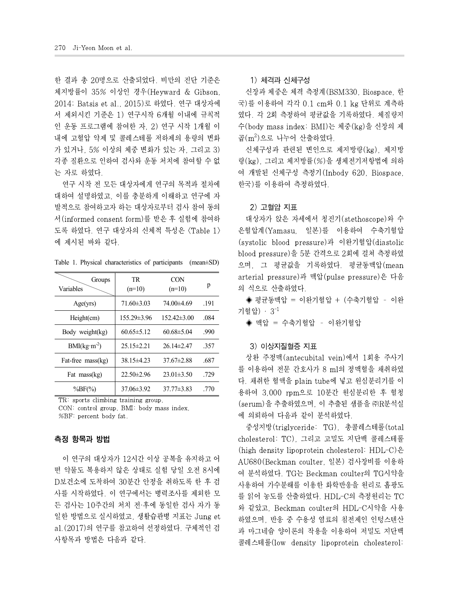한 결과 총 20명으로 산출되었다. 비만의 진단 기준은 체지방률이 35% 이상인 경우(Heyward & Gibson, 2014; Batsis et al., 2015)로 하였다. 연구 대상자에 서 제외시킨 기준은 1) 연구시작 6개월 이내에 규칙적 인 운동 프로그램에 참여한 자, 2) 연구 시작 1개월 이 내에 고혈압 약제 및 콜레스테롤 저하제의 용량의 변화 가 있거나, 5% 이상의 체중 변화가 있는 자, 그리고 3) 각종 질환으로 인하여 검사와 운동 처치에 참여할 수 없 는 자로 하였다.

연구 시작 전 모든 대상자에게 연구의 목적과 절차에 대하여 설명하였고, 이를 충분하게 이해하고 연구에 자 발적으로 참여하고자 하는 대상자로부터 검사 참여 동의 서(informed consent form)를 받은 후 실험에 참여하 도록 하였다. 연구 대상자의 신체적 특성은 <Table1> 에 제시된 바와 같다.

Table 1. Physical characteristics of participants (mean±SD)

| Groups<br>Variables | TR<br>$(n=10)$    | <b>CON</b><br>$(n=10)$ | p    |
|---------------------|-------------------|------------------------|------|
| Age(yrs)            | $71.60 \pm 3.03$  | 74.00±4.69             | .191 |
| Height(cm)          | $155.29 \pm 3.96$ | $152.42\pm3.00$        | .084 |
| Body weight(kg)     | $60.65 \pm 5.12$  | $60.68 \pm 5.04$       | .990 |
| $BMI(kg·m-2)$       | $25.15 \pm 2.21$  | $26.14 \pm 2.47$       | .357 |
| Fat-free mass(kg)   | $38.15 \pm 4.23$  | $37.67 \pm 2.88$       | .687 |
| Fat $mass(kg)$      | $22.50 \pm 2.96$  | $23.01 \pm 3.50$       | .729 |
| $\%BF(\%)$          | 37.06±3.92        | $37.77 \pm 3.83$       | .770 |

TR: sports climbing training group,

CON: control group, BMI: body mass index, %BF: percent body fat.

### 측정 항목과 방법

이 연구의 대상자가 12시간 이상 공복을 유지하고 어 떤 약물도 복용하지 않은 상태로 실험 당일 오전 8시에 D보건소에 도착하여 30분간 안정을 취하도록 한 후 검 사를 시작하였다. 이 연구에서는 병력조사를 제외한 모 든 검사는 10주간의 처치 전·후에 동일한 검사 자가 동 일한 방법으로 실시하였고, 생활습관병 지표는 Jung et al.(2017)의 연구를 참고하여 선정하였다. 구체적인 검 사항목과 방법은 다음과 같다.

#### 1) 체격과 신체구성

신장과 체중은 체격 측정계(BSM330, Biospace, 한 국)를 이용하여 각각 0.1 cm와 0.1 kg 단위로 계측하 였다. 각 2회 측정하여 평균값을 기록하였다. 체질량지 수(body mass index: BMI)는 체중(kg)을 신장의 제 곱(m<sup>2</sup>)으로 나누어 산출하였다.

신체구성과 관련된 변인으로 제지방량(kg), 체지방 량(kg), 그리고 체지방률(%)을 생체전기저항법에 의하 여 개발된 신체구성 측정기(Inbody 620, Biospace, 한국)를 이용하여 측정하였다.

#### 2) 고혈압 지표

대상자가 앉은 자세에서 청진기(stethoscope)와 수 은혈압계(Yamasu, 일본)를 이용하여 수축기혈압 (systolic blood pressure)과 이완기혈압(diastolic blood pressure)을 5분 간격으로 2회에 걸쳐 측정하였 으며, 그 평균값을 기록하였다. 평균동맥압(mean arterial pressure)과 맥압(pulse pressure)은 다음 의 식으로 산출하였다.

◆ 평균동맥압 = 이완기혈압 + (수축기혈압 - 이완 기혈압) · 3 $^{-1}$ 

◈ 맥압 = 수축기혈압 – 이완기혈압

# 3) 이상지질혈증 지표

상완 주정맥(antecubital vein)에서 1회용 주사기 를 이용하여 전문 간호사가 8 ml의 정맥혈을 채취하였 다. 채취한 혈액을 plain tube에 넣고 원심분리기를 이 용하여 3,000 rpm으로 10분간 원심분리한 후 혈청 (serum)을 추출하였으며, 이 추출된 샘플을 ㈜R분석실 에 의뢰하여 다음과 같이 분석하였다.

중성지방(triglyceride: TG), 총콜레스테롤(total cholesterol: TC), 그리고 고밀도 지단백 콜레스테롤 (high density lipoprotein cholesterol: HDL-C)은 AU680(Beckman coulter, 일본) 검사장비를 이용하 여 분석하였다. TG는 Beckman coulter의 TG시약을 사용하여 가수분해를 이용한 화학반응을 원리로 흡광도 를 읽어 농도를 산출하였다. HDL-C의 측정원리는 TC 와 같았고, Beckman coulter의 HDL-C시약을 사용 하였으며, 반응 중 수용성 염료의 침전제인 인텅스텐산 과 마그네슘 양이론의 작용을 이용하여 저밀도 지단백 콜레스테롤(low density lipoprotein cholesterol: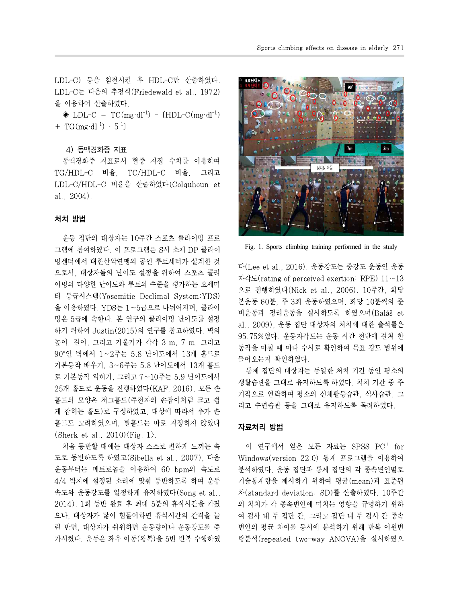LDL-C) 등을 침전시킨 후 HDL-C만 산출하였다. LDL-C는 다음의 추정식(Friedewald et al., 1972) 을 이용하여 산출하였다.

 $\textcircled{1}$  LDL-C = TC(mg·dl<sup>-1</sup>) - [HDL-C(mg·dl<sup>-1</sup>)  $\blacksquare$  $+ \text{TG}(mg \cdot d)^{-1} \cdot 5^{-1}$ 

#### 4) 동맥경화증 지표

동맥경화증 지표로서 혈중 지질 수치를 이용하여 TG/HDL-C 비율, TC/HDL-C 비율, 그리고 LDL-C/HDL-C 비율을 산출하였다(Colquhoun et al., 2004).

#### 처치 방법

운동 집단의 대상자는 10주간 스포츠 클라이밍 프로 그램에 참여하였다. 이 프로그램은 S시 소재 DP 클라이 밍센터에서 대한산악연맹의 공인 루트세터가 설계한 것 으로서, 대상자들의 난이도 설정을 위하여 스포츠 클리 이밍의 다양한 난이도와 루트의 수준을 평가하는 요세미 티 등급시스템(Yosemitie Declimal System:YDS) 을 이용하였다. YDS는 1~5급으로 나뉘어지며, 클라이 밍은 5급에 속한다. 본 연구의 클라이밍 난이도를 설정 하기 위하여 Justin(2015)의 연구를 참고하였다. 벽의 높이, 길이, 그리고 기울기가 각각 3 m, 7 m, 그리고 90°인 벽에서 1~2주는 5.8 난이도에서 13개 홀드로 기본동작 배우기, 3~6주는 5.8 난이도에서 13개 홀드 로 기본동작 익히기, 그리고 7~10주는 5.9 난이도에서 25개 홀드로 운동을 진행하였다(KAF, 2016). 모든 손 홀드의 모양은 저그홀드(주전자의 손잡이처럼 크고 쉽 게 잡히는 홀드)로 구성하였고, 대상에 따라서 추가 손 홀드도 고려하였으며, 발홀드는 따로 지정하지 않았다 (Sherk et al.,  $2010$ ) $\langle$ Fig. 1 $\rangle$ .

처음 등반할 때에는 대상자 스스로 편하게 느끼는 속 도로 등반하도록 하였고(Sibella et al., 2007), 다음 운동부터는 메트로놈을 이용하여 60 bpm의 속도로 4/4 박자에 설정된 소리에 맞춰 등반하도록 하여 운동 속도와 운동강도를 일정하게 유지하였다(Song et al., 2014). 1회 등반 완료 후 최대 5분의 휴식시간을 가졌 으나, 대상자가 많이 힘들어하면 휴식시간의 간격을 늘 린 반면, 대상자가 쉬워하면 운동량이나 운동강도를 증 가시켰다. 운동은 좌우 이동(왕복)을 5번 반복 수행하였



Fig. 1. Sports climbing training performed in the study

다(Lee et al., 2016). 운동강도는 중강도 운동인 운동 자각도(rating of perceived exertion: RPE)  $11~13$ 으로 진행하였다(Nick et al., 2006). 10주간, 회당 본운동 60분, 주 3회 운동하였으며, 회당 10분씩의 준 비운동과 정리운동을 실시하도록 하였으며(Baláš et al., 2009), 운동 집단 대상자의 처치에 대한 출석률은 95.75%였다. 운동자각도는 운동 시간 전반에 걸쳐 한 동작을 마칠 때 마다 수시로 확인하여 목표 강도 범위에 들어오는지 확인하였다.

통제 집단의 대상자는 동일한 처치 기간 동안 평소의 생활습관을 그대로 유지하도록 하였다. 처치 기간 중 주 기적으로 연락하여 평소의 신체활동습관, 식사습관, 그 리고 수면습관 등을 그대로 유지하도록 독려하였다.

#### 자료처리 방법

이 연구에서 얻은 모든 자료는 SPSS PC<sup>+</sup> for Windows(version 22.0) 통계 프로그램을 이용하여 분석하였다. 운동 집단과 통제 집단의 각 종속변인별로 기술통계량을 제시하기 위하여 평균(mean)과 표준편 차(standard deviation: SD)를 산출하였다. 10주간 의 처치가 각 종속변인에 미치는 영향을 규명하기 위하 여 검사 내 두 집단 간, 그리고 집단 내 두 검사 간 종속 변인의 평균 차이를 동시에 분석하기 위해 반복 이원변 량분석(repeated two-way ANOVA)을 실시하였으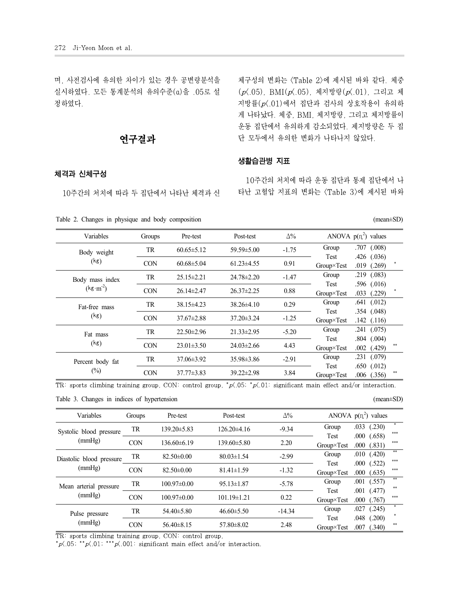며, 사전검사에 유의한 차이가 있는 경우 공변량분석을 실시하였다. 모든 통계분석의 유의수준(α)을 .05로 설 정하였다.

# 연구결과

# 체격과 신체구성

10주간의 처치에 따라 두 집단에서 나타난 체격과 신

Table 2. Changes in physique and body composition

체구성의 변화는 <Table 2>에 제시된 바와 같다. 체중 (p<.05), BMI(p<.05), 체지방량(p<.01), 그리고 체 지방률(p<.01)에서 집단과 검사의 상호작용이 유의하 게 나타났다. 체중, BMI, 체지방량, 그리고 체지방률이 운동 집단에서 유의하게 감소되었다. 제지방량은 두 집 단 모두에서 유의한 변화가 나타나지 않았다.

## 생활습관병 지표

10주간의 처치에 따라 운동 집단과 통제 집단에서 나 타난 고혈압 지표의 변화는 <Table3>에 제시된 바와

| Variables        | Groups     | Pre-test         | Post-test        | $\Delta\%$ | ANOVA $p(n^2)$ values                                            |
|------------------|------------|------------------|------------------|------------|------------------------------------------------------------------|
| Body weight      | TR         | $60.65 \pm 5.12$ | $59.59 \pm 5.00$ | $-1.75$    | $.707$ $(.008)$<br>Group                                         |
| (kg)             | <b>CON</b> | $60.68 \pm 5.04$ | $61.23\pm4.55$   | 0.91       | $.426$ $(.036)$<br>Test<br>Group×Test<br>.019<br>(.269)          |
| Body mass index  | TR         | $25.15 \pm 2.21$ | $24.78 \pm 2.20$ | $-1.47$    | $.219$ $(.083)$<br>Group                                         |
| $(kg·m-2)$       | <b>CON</b> | $26.14 \pm 2.47$ | $26.37 \pm 2.25$ | 0.88       | $.596$ $(.016)$<br>Test<br>$.033$ $(.229)$<br>$Group\times Test$ |
| Fat-free mass    | <b>TR</b>  | $38.15 \pm 4.23$ | $38.26\pm4.10$   | 0.29       | $.641$ $(.012)$<br>Group                                         |
| (kg)             | <b>CON</b> | $37.67 \pm 2.88$ | $37.20 \pm 3.24$ | $-1.25$    | .354(.048)<br>Test<br>$.142$ $(.116)$<br>$Group\times Test$      |
| Fat mass         | TR         | $22.50 \pm 2.96$ | $21.33 \pm 2.95$ | $-5.20$    | $.241$ $(.075)$<br>Group                                         |
| (kg)             | <b>CON</b> | $23.01 \pm 3.50$ | $24.03 \pm 2.66$ | 4.43       | $.804$ $(.004)$<br>Test<br>$.002$ $(.429)$<br>$Group\times Test$ |
| Percent body fat | TR         | $37.06 \pm 3.92$ | $35.98\pm3.86$   | $-2.91$    | $.231$ $(.079)$<br>Group                                         |
| $\binom{0}{0}$   | <b>CON</b> | $37.77 \pm 3.83$ | $39.22 \pm 2.98$ | 3.84       | $.650$ $(.012)$<br>Test<br>$.006$ $(.356)$<br>$Group\times Test$ |

TR: sports climbing training group, CON: control group,  $^*p\sqrt{0.05}$ ;  $^*p\sqrt{0.01}$ : significant main effect and/or interaction.

|  |  |  |  |  |  | Table 3. Changes in indices of hypertension | (mean $\pm$ SD) |  |
|--|--|--|--|--|--|---------------------------------------------|-----------------|--|
|--|--|--|--|--|--|---------------------------------------------|-----------------|--|

| Variables                          | Groups     | Pre-test          | Post-test         | $\Delta\%$ | ANOVA $p(n^2)$ values                                                   |
|------------------------------------|------------|-------------------|-------------------|------------|-------------------------------------------------------------------------|
| Systolic blood pressure<br>(mmHg)  | TR         | 139.20±5.83       | $126.20\pm4.16$   | $-9.34$    | $.033$ $(.230)$<br>Group<br>***                                         |
|                                    | <b>CON</b> | 136.60±6.19       | $139.60 \pm 5.80$ | 2.20       | $.000$ $(.658)$<br>Test<br>***<br>$.000$ $(.831)$<br>$Group\times Test$ |
| Diastolic blood pressure<br>(mmHg) | <b>TR</b>  | $82.50 \pm 0.00$  | $80.03 \pm 1.54$  | $-2.99$    | **<br>$.010$ $(.420)$<br>Group<br>***                                   |
|                                    | <b>CON</b> | $82.50 \pm 0.00$  | $81.41 \pm 1.59$  | $-1.32$    | $.000$ $(.522)$<br>Test<br>***<br>$.000$ $(.635)$<br>Group×Test         |
| Mean arterial pressure<br>(mmHg)   | TR         | $100.97 \pm 0.00$ | $95.13 \pm 1.87$  | $-5.78$    | **<br>$.001$ $(.557)$<br>Group<br>**                                    |
|                                    | <b>CON</b> | $100.97\pm0.00$   | $101.19 \pm 1.21$ | 0.22       | (.477)<br>.001<br>Test<br>***<br>$.000$ $(.767)$<br>Group×Test          |
| Pulse pressure<br>(mmHg)           | TR         | $54.40\pm5.80$    | $46.60 \pm 5.50$  | $-14.34$   | $*$<br>.027<br>(.245)<br>Group                                          |
|                                    | <b>CON</b> | $56.40\pm8.15$    | $57.80 \pm 8.02$  | 2.48       | .048 (.200)<br><b>Test</b><br>Group×Test<br>.007<br>(.340)              |

TR: sports climbing training group, CON: control group,

 $p(.05; **p(.01; **p(.001: significant main effect and/or interaction.$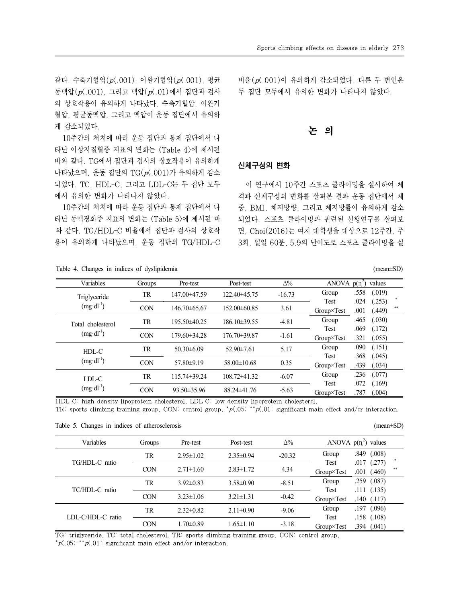같다. 수축기혈압(p<.001), 이완기혈압(p<.001), 평균 동맥압(p<.001), 그리고 맥압(p<.01)에서 집단과 검사 의 상호작용이 유의하게 나타났다. 수축기혈압, 이완기 혈압, 평균동맥압, 그리고 맥압이 운동 집단에서 유의하 게 감소되었다.

10주간의 처치에 따라 운동 집단과 통제 집단에서 나 타난 이상지질혈증 지표의 변화는 <Table 4>에 제시된 바와 같다. TG에서 집단과 검사의 상호작용이 유의하게 나타났으며, 운동 집단의 TG(p<.001)가 유의하게 감소 되었다. TC, HDL-C, 그리고 LDL-C는 두 집단 모두 에서 유의한 변화가 나타나지 않았다.

10주간의 처치에 따라 운동 집단과 통제 집단에서 나 타난 동맥경화증 지표의 변화는 <Table 5>에 제시된 바 와 같다. TG/HDL-C 비율에서 집단과 검사의 상호작 용이 유의하게 나타났으며, 운동 집단의 TG/HDL-C

Table 4. Changes in indices of dyslinidemia

비율(p<.001)이 유의하게 감소되었다. 다른 두 변인은 두 집단 모두에서 유의한 변화가 나타나지 않았다.

# 논 의

## 신체구성의 변화

이 연구에서 10주간 스포츠 클라이밍을 실시하여 체 격과 신체구성의 변화를 살펴본 결과 운동 집단에서 체 중, BMI, 체지방량, 그리고 체지방률이 유의하게 감소 되었다. 스포츠 클라이밍과 관련된 선행연구를 살펴보 면, Choi(2016)는 여자 대학생을 대상으로 12주간, 주 3회, 일일 60분, 5.9의 난이도로 스포츠 클라이밍을 실

| $mean \pm SI$ | ור |
|---------------|----|
|               |    |

| $\ldots$ changes in merces of $\alpha$ systemation |            |                   |                   |            |                       |      | $\cdots$ |  |
|----------------------------------------------------|------------|-------------------|-------------------|------------|-----------------------|------|----------|--|
| Variables                                          | Groups     | Pre-test          | Post-test         | $\Delta\%$ | ANOVA $p(n^2)$ values |      |          |  |
|                                                    | TR         | 147.00±47.59      | 122.40±45.75      | $-16.73$   | Group                 | .558 | (.019)   |  |
| Triglyceride                                       |            |                   |                   |            | Test                  | .024 | (.253)   |  |
| $(mg \cdot dl^{-1})$                               | <b>CON</b> | $146.70\pm 65.67$ | $152.00\pm 60.85$ | 3.61       | Group×Test            | .001 | (.449)   |  |
| Total cholesterol<br>$(mg \cdot dl^{-1})$          | TR         | $195.50\pm40.25$  | $186.10\pm39.55$  | $-4.81$    | Group                 | .465 | (.030)   |  |
|                                                    |            |                   |                   |            | Test                  | .069 | (.172)   |  |
|                                                    | <b>CON</b> | $179.60\pm34.28$  | 176.70±39.87      | $-1.61$    | Group×Test            | .321 | (.055)   |  |
| $HDL-C$<br>$(mg \cdot dl^{-1})$                    | TR         | $50.30\pm 6.09$   | $52.90 \pm 7.61$  | 5.17       | Group                 | .090 | (.151)   |  |
|                                                    |            |                   |                   |            | Test                  | .368 | (.045)   |  |
|                                                    | <b>CON</b> | $57.80\pm9.19$    | 58.00±10.68       | 0.35       | Group×Test            | .439 | (.034)   |  |
| LDL-C<br>$(mg \cdot dl^{-1})$                      | <b>TR</b>  | 115.74±39.24      | $108.72\pm41.32$  | $-6.07$    | Group                 | .236 | (.077)   |  |
|                                                    |            |                   |                   |            | Test                  | .072 | (.169)   |  |
|                                                    | <b>CON</b> | $93.50 \pm 35.96$ | $88.24 \pm 41.76$ | $-5.63$    | Group×Test            | .787 | (.004)   |  |

HDL-C: high density lipoprotein cholesterol, LDL-C: low density lipoprotein cholesterol, TR: sports climbing training group, CON: control group,  $*\rho(.05; **p(.01:$  significant main effect and/or interaction.

|  |  |  |  | Table 5. Changes in indices of atherosclerosis | $(mean \pm SD)$ |  |
|--|--|--|--|------------------------------------------------|-----------------|--|
|--|--|--|--|------------------------------------------------|-----------------|--|

| Variables         | Groups     | Pre-test        | Post-test       | $\Delta\%$ | ANOVA $p(n^2)$ values                                            |
|-------------------|------------|-----------------|-----------------|------------|------------------------------------------------------------------|
|                   | TR         | $2.95 \pm 1.02$ | $2.35\pm0.94$   | $-20.32$   | $.849$ $(.008)$<br>Group                                         |
| TG/HDL-C ratio    | <b>CON</b> | $2.71 \pm 1.60$ | $2.83 \pm 1.72$ | 4.34       | $.017$ $(.277)$<br>Test<br>**<br>Group×Test<br>.001<br>(.460)    |
| TC/HDL-C ratio    | TR         | $3.92 \pm 0.83$ | $3.58 \pm 0.90$ | $-8.51$    | $.259$ $(.087)$<br>Group                                         |
|                   | <b>CON</b> | $3.23 \pm 1.06$ | $3.21 \pm 1.31$ | $-0.42$    | .111(.135)<br>Test<br>Group×Test<br>.140(.117)                   |
| LDL-C/HDL-C ratio | TR         | $2.32 \pm 0.82$ | $2.11 \pm 0.90$ | $-9.06$    | (.096)<br>.197<br>Group                                          |
|                   | <b>CON</b> | 1.70±0.89       | $1.65 \pm 1.10$ | $-3.18$    | $.158$ $(.108)$<br>Test<br>$.394$ $(.041)$<br>$Group\times Test$ |

TG: triglyceride, TC: total cholesterol, TR: sports climbing training group, CON: control group,  $p(.05; **p(.01: significant main effect and/or interaction.$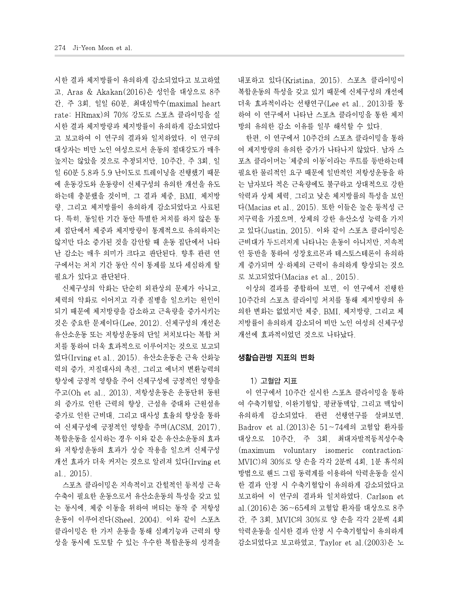시한 결과 체지방률이 유의하게 감소되었다고 보고하였 고, Aras & Akakan(2016)은 성인을 대상으로 8주 간, 주 3회, 일일 60분, 최대심박수(maximal heart rate: HRmax)의 70% 강도로 스포츠 클라이밍을 실 시한 결과 체지방량과 체지방률이 유의하게 감소되었다 고 보고하여 이 연구의 결과와 일치하였다. 이 연구의 대상자는 비만 노인 여성으로서 운동의 절대강도가 매우 높지는 않았을 것으로 추정되지만, 10주간, 주 3회, 일 일 60분 5.8과 5.9 난이도로 트레이닝을 진행했기 때문 에 운동강도와 운동량이 신체구성의 유의한 개선을 유도 하는데 충분했을 것이며, 그 결과 체중, BMI, 체지방 량, 그리고 체지방률이 유의하게 감소되었다고 사료된 다. 특히, 동일한 기간 동안 특별한 처치를 하지 않은 통 제 집단에서 체중과 체지방량이 통계적으로 유의하지는 않지만 다소 증가된 것을 감안할 때 운동 집단에서 나타 난 감소는 매우 의미가 크다고 판단된다. 향후 관련 연 구에서는 처치 기간 동안 식이 통제를 보다 세심하게 할 필요가 있다고 판단된다.

신체구성의 악화는 단순히 외관상의 문제가 아니고, 체력의 약화로 이어지고 각종 질병을 일으키는 원인이 되기 때문에 체지방량을 감소하고 근육량을 증가시키는 것은 중요한 문제이다(Lee, 2012). 신체구성의 개선은 유산소운동 또는 저항성운동의 단일 처치보다는 복합 처 치를 통하여 더욱 효과적으로 이루어지는 것으로 보고되 었다(Irving et al., 2015). 유산소운동은 근육 산화능 력의 증가, 지질대사의 촉진, 그리고 에너지 변환능력의 향상에 긍정적 영향을 주어 신체구성에 긍정적인 영향을 주고(Oh et al., 2013), 저항성운동은 운동단위 동원 의 증가로 인한 근력의 향상, 근섬유 증대와 근원섬유 증가로 인한 근비대, 그리고 대사성 효율의 향상을 통하 여 신체구성에 긍정적인 영향을 주며(ACSM, 2017), 복합운동을 실시하는 경우 이와 같은 유산소운동의 효과 와 저항성운동의 효과가 상승 작용을 일으켜 신체구성 개선 효과가 더욱 커지는 것으로 알려져 있다(Irving et al., 2015).

스포츠 클라이밍은 지속적이고 간헐적인 등척성 근육 수축이 필요한 운동으로서 유산소운동의 특성을 갖고 있 는 동시에, 체중 이동을 위하여 버티는 동작 중 저항성 운동이 이루어진다(Sheel, 2004). 이와 같이 스포츠 클라이밍은 한 가지 운동을 통해 심폐기능과 근력의 향 상을 동시에 도모할 수 있는 우수한 복합운동의 성격을 내포하고 있다(Kristina, 2015). 스포츠 클라이밍이 복합운동의 특성을 갖고 있기 때문에 신체구성의 개선에 더욱 효과적이라는 선행연구(Lee et al., 2013)를 통 하여 이 연구에서 나타난 스포츠 클라이밍을 통한 체지 방의 유의한 감소 이유를 일부 해석할 수 있다.

한편, 이 연구에서 10주간의 스포츠 클라이밍을 통하 여 제지방량의 유의한 증가가 나타나지 않았다. 남자 스 포츠 클라이머는 '체중의 이동'이라는 루트를 등반하는데 필요한 물리적인 요구 때문에 일반적인 저항성운동을 하 는 남자보다 적은 근육량에도 불구하고 상대적으로 강한 악력과 상체 체력,그리고 낮은 체지방률의 특성을 보인 다(Macias et al., 2015). 또한 이들은 높은 등척성 근 지구력을 가졌으며, 상체의 강한 유산소성 능력을 가지 고 있다(Justin, 2015). 이와 같이 스포츠 클라이밍은 근비대가 두드러지게 나타나는 운동이 아니지만, 지속적 인 등반을 통하여 성장호르몬과 테스토스테론이 유의하 게 증가되며 상·하체의 근력이 유의하게 향상되는 것으 로 보고되었다(Macias et al., 2015).

이상의 결과를 종합하여 보면, 이 연구에서 진행한 10주간의 스포츠 클라이밍 처치를 통해 제지방량의 유 의한 변화는 없었지만 체중, BMI, 체지방량, 그리고 체 지방률이 유의하게 감소되어 비만 노인 여성의 신체구성 개선에 효과적이었던 것으로 나타났다.

#### 생활습관병 지표의 변화

#### 1) 고혈압 지표

이 연구에서 10주간 실시한 스포츠 클라이밍을 통하 여 수축기혈압, 이완기혈압, 평균동맥압, 그리고 맥압이 유의하게 감소되었다. 관련 선행연구를 살펴보면, Badrov et al.(2013)은 51~74세의 고혈압 환자를 대상으로 10주간, 주 3회, 최대자발적등척성수축 (maximum voluntary isomeric contraction: MVIC)의 30%로 양 손을 각각 2분씩 4회, 1분 휴식의 방법으로 핸드 그립 동력계를 이용하여 악력운동을 실시 한 결과 안정 시 수축기혈압이 유의하게 감소되었다고 보고하여 이 연구의 결과와 일치하였다. Carlson et al.(2016)은 36~65세의 고혈압 환자를 대상으로 8주 간, 주 3회, MVIC의 30%로 양 손을 각각 2분씩 4회 악력운동을 실시한 결과 안정 시 수축기혈압이 유의하게 감소되었다고 보고하였고, Taylor et al.(2003)은 노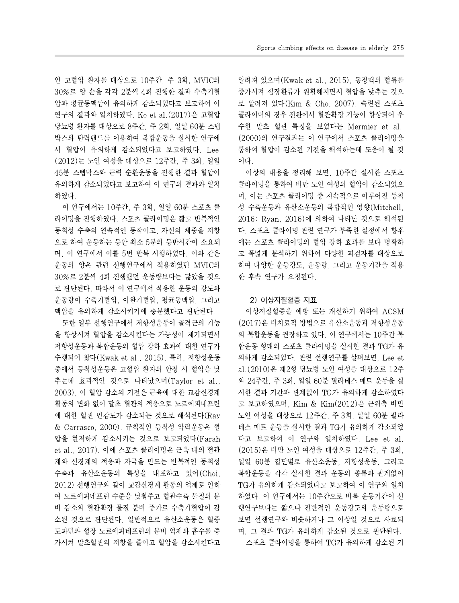인 고혈압 환자를 대상으로 10주간, 주 3회, MVIC의 30%로 양 손을 각각 2분씩 4회 진행한 결과 수축기혈 압과 평균동맥압이 유의하게 감소되었다고 보고하여 이 연구의 결과와 일치하였다. Ko et al.(2017)은 고혈압 당뇨병 환자를 대상으로 8주간, 주 2회, 일일 60분 스텝 박스와 탄력밴드를 이용하여 복합운동을 실시한 연구에 서 혈압이 유의하게 감소되었다고 보고하였다. Lee (2012)는 노인 여성을 대상으로 12주간, 주 3회, 일일 45분 스텝박스와 근력 순환운동을 진행한 결과 혈압이 유의하게 감소되었다고 보고하여 이 연구의 결과와 일치 하였다.

이 연구에서는 10주간, 주 3회, 일일 60분 스포츠 클 라이밍을 진행하였다. 스포츠 클라이밍은 짧고 반복적인 등척성 수축의 연속적인 동작이고, 자신의 체중을 저항 으로 하여 운동하는 동안 최소 5분의 등반시간이 소요되 며, 이 연구에서 이를 5번 반복 시행하였다. 이와 같은 운동의 양은 관련 선행연구에서 적용하였던 MVIC의 30%로 2분씩 4회 진행했던 운동량보다는 많았을 것으 로 판단된다. 따라서 이 연구에서 적용한 운동의 강도와 운동량이 수축기혈압, 이완기혈압, 평균동맥압, 그리고 맥압을 유의하게 감소시키기에 충분했다고 판단된다.

또한 일부 선행연구에서 저항성운동이 골격근의 기능 을 향상시켜 혈압을 감소시킨다는 가능성이 제기되면서 저항성운동과 복합운동의 혈압 강하 효과에 대한 연구가 수행되어 왔다(Kwak et al., 2015). 특히, 저항성운동 중에서 등척성운동은 고혈압 환자의 안정 시 혈압을 낮 추는데 효과적인 것으로 나타났으며(Taylor et al., 2003), 이 혈압 감소의 기전은 근육에 대한 교감신경계 활동의 변화 없이 말초 혈관의 적응으로 노르에피네프린 에 대한 혈관 민감도가 감소되는 것으로 해석된다(Ray & Carrasco, 2000). 규칙적인 등척성 악력운동은 혈 압을 현저하게 감소시키는 것으로 보고되었다(Farah et al., 2017). 이에 스포츠 클라이밍은 근육 내의 혈관 계와 신경계의 적응과 자극을 만드는 반복적인 등척성 수축과 유산소운동의 특성을 내포하고 있어(Choi, 2012) 선행연구와 같이 교감신경계 활동의 억제로 인하 여 노르에피네프린 수준을 낮춰주고 혈관수축 물질의 분 비 감소와 혈관확장 물질 분비 증가로 수축기혈압이 감 소된 것으로 판단된다. 일반적으로 유산소운동은 혈중 도파민과 혈장 노르에피네프린의 분비 억제와 흡수를 증 가시켜 말초혈관의 저항을 줄이고 혈압을 감소시킨다고 알려져 있으며(Kwak et al., 2015), 동정맥의 혈류를 증가시켜 심장환류가 원활해지면서 혈압을 낮추는 것으 로 알려져 있다(Kim & Cho, 2007). 숙련된 스포츠 클라이머의 경우 전완에서 혈관확장 기능이 향상되어 우 수한 말초 혈관 특징을 보였다는 Mermier et al. (2000)의 연구결과는 이 연구에서 스포츠 클라이밍을 통하여 혈압이 감소된 기전을 해석하는데 도움이 될 것 이다.

이상의 내용을 정리해 보면, 10주간 실시한 스포츠 클라이밍을 통하여 비만 노인 여성의 혈압이 감소되었으 며, 이는 스포츠 클라이밍 중 지속적으로 이루어진 등척 성 수축운동과 유산소운동의 복합적인 영향(Mitchell, 2016; Ryan, 2016)에 의하여 나타난 것으로 해석된 다. 스포츠 클라이밍 관련 연구가 부족한 실정에서 향후 에는 스포츠 클라이밍의 혈압 강하 효과를 보다 명확하 고 폭넓게 분석하기 위하여 다양한 피검자를 대상으로 하여 다양한 운동강도, 운동량, 그리고 운동기간을 적용 한 후속 연구가 요청된다.

#### 2) 이상지질혈증 지표

이상지질혈증을 예방 또는 개선하기 위하여 ACSM (2017)은 비치료적 방법으로 유산소운동과 저항성운동 의 복합운동을 권장하고 있다. 이 연구에서는 10주간 복 합운동 형태의 스포츠 클라이밍을 실시한 결과 TG가 유 의하게 감소되었다. 관련 선행연구를 살펴보면, Lee et al.(2010)은 제2형 당뇨병 노인 여성을 대상으로 12주 와 24주간, 주 3회, 일일 60분 필라테스 매트 운동을 실 시한 결과 기간과 관계없이 TG가 유의하게 감소하였다 고 보고하였으며, Kim & Kim(2012)은 근위축 비만 노인 여성을 대상으로 12주간, 주 3회, 일일 60분 필라 테스 매트 운동을 실시한 결과 TG가 유의하게 감소되었 다고 보고하여 이 연구와 일치하였다. Lee et al. (2015)은 비만 노인 여성을 대상으로 12주간, 주 3회, 일일 60분 집단별로 유산소운동, 저항성운동, 그리고 복합운동을 각각 실시한 결과 운동의 종류와 관계없이 TG가 유의하게 감소되었다고 보고하여 이 연구와 일치 하였다. 이 연구에서는 10주간으로 비록 운동기간이 선 행연구보다는 짧으나 전반적인 운동강도와 운동량으로 보면 선행연구와 비슷하거나 그 이상일 것으로 사료되 며, 그 결과 TG가 유의하게 감소된 것으로 판단된다. 스포츠 클라이밍을 통하여 TG가 유의하게 감소된 기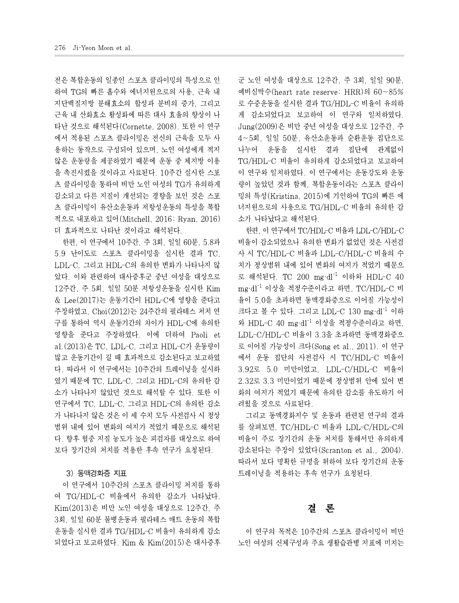전은 복합운동의 일종인 스포츠 클라이밍의 특성으로 인 하여 TG의 빠른 흡수와 에너지원으로의 사용, 근육 내 지단백질지방 분해효소의 합성과 분비의 증가, 그리고 근육 내 산화효소 활성화에 따른 대사 효율의 향상이 나 타난 것으로 해석된다(Cornette, 2008). 또한 이 연구 에서 적용된 스포츠 클라이밍은 전신의 근육을 모두 사 용하는 동작으로 구성되어 있으며, 노인 여성에게 적지 않은 운동량을 제공하였기 때문에 운동 중 체지방 이용 을 촉진시켰을 것이라고 사료된다. 10주간 실시한 스포 츠 클라이밍을 통하여 비만 노인 여성의 TG가 유의하게 감소되고 다른 지질이 개선되는 경향을 보인 것은 스포 츠 클라이밍이 유산소운동과 저항성운동의 특성을 복합 적으로 내포하고 있어(Mitchell, 2016; Ryan, 2016) 더 효과적으로 나타난 것이라고 해석된다.

한편, 이 연구에서 10주간, 주 3회, 일일 60분, 5.8과 5.9 난이도로 스포츠 클라이밍을 실시한 결과 TC, LDL-C, 그리고 HDL-C의 유의한 변화가 나타나지 않 았다. 이와 관련하여 대사증후군 중년 여성을 대상으로 12주간, 주 5회, 일일 50분 저항성운동을 실시한 Kim & Lee(2017)는 운동기간이 HDL-C에 영향을 준다고 주장하였고, Choi(2012)는 24주간의 필라테스 처치 연 구를 통하여 역시 운동기간의 차이가 HDL-C에 유의한 영향을 준다고 주장하였다. 이에 더하여 Paoli et al.(2013)은 TC, LDL-C, 그리고 HDL-C가 운동량이 많고 운동기간이 길 때 효과적으로 감소된다고 보고하였 다. 따라서 이 연구에서는 10주간의 트레이닝을 실시하 였기 때문에 TC, LDL-C, 그리고 HDL-C의 유의한 감 소가 나타나지 않았던 것으로 해석할 수 있다. 또한 이 연구에서 TC, LDL-C, 그리고 HDL-C의 유의한 감소 가 나타나지 않은 것은 이 세 수치 모두 사전검사 시 정상 범위 내에 있어 변화의 여지가 적었기 때문으로 해석된 다. 향후 혈중 지질 농도가 높은 피검자를 대상으로 하여 보다 장기간의 처치를 적용한 후속 연구가 요청된다.

#### 3) 동맥경화증 지표

이 연구에서 10주간의 스포츠 클라이밍 처치를 통하 여 TG/HDL-C 비율에서 유의한 감소가 나타났다. Kim(2013)은 비만 노인 여성을 대상으로 12주간, 주 3회, 일일 60분 물병운동과 필라테스 매트 운동의 복합 운동을 실시한 결과 TG/HDL-C 비율이 유의하게 감소 되었다고 보고하였다. Kim & Kim(2015)은 대사증후 군 노인 여성을 대상으로 12주간, 주 3회, 일일 90분, 예비심박수(heart rate reserve: HRR)의 60~85% 로 수중운동을 실시한 결과 TG/HDL-C 비율이 유의하 게 감소되었다고 보고하여 이 연구와 일치하였다. Jung(2009)은 비만 중년 여성을 대상으로 12주간, 주 4~5회, 일일 50분, 유산소운동과 순환운동 집단으로 나누어 운동을 실시한 결과 집단에 관계없이 TG/HDL-C 비율이 유의하게 감소되었다고 보고하여 이 연구와 일치하였다. 이 연구에서는 운동강도와 운동 량이 높았던 것과 함께, 복합운동이라는 스포츠 클라이 밍의 특성(Kristina, 2015)에 기인하여 TG의 빠른 에 너지원으로의 사용으로 TG/HDL-C 비율의 유의한 감 소가 나타났다고 해석된다.

한편, 이 연구에서 TC/HDL-C 비율과 LDL-C/HDL-C 비율이 감소되었으나 유의한 변화가 없었던 것은 사전검 사 시 TC/HDL-C 비율과 LDL-C/HDL-C 비율의 수 치가 정상범위 내에 있어 변화의 여지가 적었기 때문으 로 해석된다. TC 200 mg·dl<sup>-1</sup> 이하와 HDL-C 40 mg·dl -1 이상을 적정수준이라고 하면, TC/HDL-C 비 율이 5.0을 초과하면 동맥경화증으로 이어질 가능성이 크다고 볼 수 있다. 그리고 LDL-C 130 mg·dl<sup>-1</sup> 이하 와 HDL-C 40 mg·dl<sup>-1</sup> 이상을 적정수준이라고 하면, LDL-C/HDL-C 비율이 3.3을 초과하면 동맥경화증으 로 이어질 가능성이 크다(Song et al., 2011). 이 연구 에서 운동 집단의 사전검사 시 TC/HDL-C 비율이 3.92로 5.0 미만이었고, LDL-C/HDL-C 비율이 2.32로 3.3 미만이었기 때문에 정상범위 안에 있어 변 화의 여지가 적었기 때문에 유의한 감소를 유도하기 어 려웠을 것으로 사료된다.

그리고 동맥경화지수 및 운동과 관련된 연구의 결과 를 살펴보면, TC/HDL-C 비율과 LDL-C/HDL-C의 비율이 주로 장기간의 운동 처치를 통해서만 유의하게 감소된다는 주장이 있었다(Scranton et al., 2004). 따라서 보다 명확한 규명을 위하여 보다 장기간의 운동 트레이닝을 적용하는 후속 연구가 요청된다.

# 결 론

이 연구의 목적은 10주간의 스포츠 클라이밍이 비만 노인 여성의 신체구성과 주요 생활습관병 지표에 미치는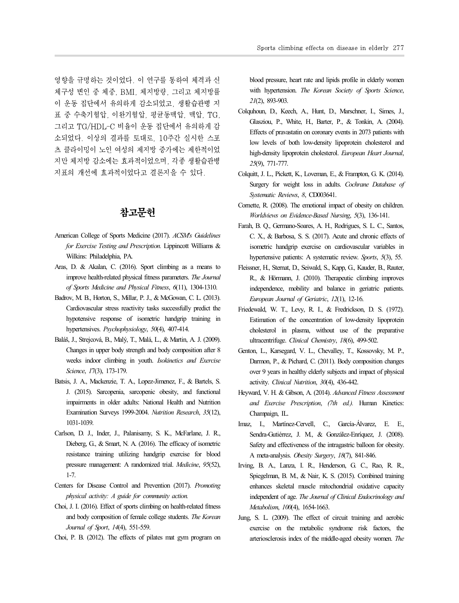영향을 규명하는 것이었다. 이 연구를 통하여 체격과 신 체구성 변인 중 체중, BMI, 체지방량, 그리고 체지방률 이 운동 집단에서 유의하게 감소되었고, 생활습관병 지 표 중 수축기혈압, 이완기혈압, 평균동맥압, 맥압, TG, 그리고 TG/HDL-C 비율이 운동 집단에서 유의하게 감 소되었다. 이상의 결과를 토대로, 10주간 실시한 스포 츠 클라이밍이 노인 여성의 제지방 증가에는 제한적이었 지만 체지방 감소에는 효과적이었으며, 각종 생활습관병 지표의 개선에 효과적이었다고 결론지을 수 있다.

# 참고문헌

- American College of Sports Medicine (2017). *ACSM's Guidelines for Exercise Testing and Prescription.* Lippincott Williams & Wilkins: Philadelphia, PA.
- Aras, D. & Akalan, C. (2016). Sport climbing as a means to improve health-related physical fitness parameters. *The Journal of Sports Medicine and Physical Fitness*, *6*(11), 1304-1310.
- Badrov, M. B., Horton, S., Millar, P. J., & McGowan, C. L. (2013). Cardiovascular stress reactivity tasks successfully predict the hypotensive response of isometric handgrip training in hypertensives. *Psychophysiology*, *50*(4), 407-414.
- Baláš, J., Strejcová, B., Malý, T., Malá, L., & Martin, A. J. (2009). Changes in upper body strength and body composition after 8 weeks indoor climbing in youth. *Isokinetics and Exercise Science*, *1*7(3), 173-179.
- Batsis, J. A., Mackenzie, T. A., Lopez-Jimenez, F., & Bartels, S. J. (2015). Sarcopenia, sarcopenic obesity, and functional impairments in older adults: National Health and Nutrition Examination Surveys 1999-2004. *Nutrition Research*, *35*(12), 1031-1039.
- Carlson, D. J., Inder, J., Palanisamy, S. K., McFarlane, J. R., Dieberg, G., & Smart, N. A. (2016). The efficacy of isometric resistance training utilizing handgrip exercise for blood pressure management: A randomized trial. *Medicine*, *95*(52), 1-7.
- Centers for Disease Control and Prevention (2017). *Promoting physical activity: A guide for community action.*
- Choi, J. I. (2016). Effect of sports climbing on health-related fitness and body composition of female college students. *The Korean Journal of Sport*, *14*(4), 551-559.
- Choi, P. B. (2012). The effects of pilates mat gym program on

with hypertension. *The Korean Society of Sports Science*, *21*(2), 893-903.

- Colquhoun, D., Keech, A., Hunt, D., Marschner, I., Simes, J., Glasziou, P., White, H., Barter, P., & Tonkin, A. (2004). Effects of pravastatin on coronary events in 2073 patients with low levels of both low-density lipoprotein cholesterol and high-density lipoprotein cholesterol. *European Heart Journal*, *25*(9), 771-777.
- Colquitt, J. L., Pickett, K., Loveman, E., & Frampton, G. K. (2014). Surgery for weight loss in adults. *Cochrane Database of Systematic Reviews*, *8*, CD003641.
- Cornette, R. (2008). The emotional impact of obesity on children. *Worldviews on Evidence-Based Nursing*, *5*(3), 136-141.
- Farah, B. Q., Germano-Soares, A. H., Rodrigues, S. L. C., Santos, C. X., & Barbosa, S. S. (2017). Acute and chronic effects of isometric handgrip exercise on cardiovascular variables in hypertensive patients: A systematic review. *Sports*, *5*(3), 55.
- Fleissner, H., Sternat, D., Seiwald, S., Kapp, G., Kauder, B., Rauter, R., & Hörmann, J. (2010). Therapeutic climbing improves independence, mobility and balance in geriatric patients. *European Journal of Geriatric*, *12*(1), 12-16.
- Friedewald, W. T., Levy, R. I., & Fredrickson, D. S. (1972). Estimation of the concentration of low-density lipoprotein cholesterol in plasma, without use of the preparative ultracentrifuge. *Clinical Chemistry*, *18*(6), 499-502.
- Genton, L., Karsegard, V. L., Chevalley, T., Kossovsky, M. P., Darmon, P., & Pichard, C. (2011). Body composition changes over 9 years in healthy elderly subjects and impact of physical activity. *Clinical Nutrition*, *30*(4), 436-442.
- Heyward, V. H. & Gibson, A. (2014). *Advanced Fitness Assessment and Exercise Prescription*, *(7th ed.).* Human Kinetics: Champaign, IL.
- Imaz, I., Martínez-Cervell, C., García-Álvarez, E. E., Sendra-Gutiérrez, J. M., & González-Enríquez, J. (2008). Safety and effectiveness of the intragastric balloon for obesity. A meta-analysis. *Obesity Surgery*, *18*(7), 841-846.
- Irving, B. A., Lanza, I. R., Henderson, G. C., Rao, R. R., Spiegelman, B. M., & Nair, K. S. (2015). Combined training enhances skeletal muscle mitochondrial oxidative capacity independent of age. *The Journal of Clinical Endocrinology and Metabolism*, *100*(4), 1654-1663.
- Jung, S. L. (2009). The effect of circuit training and aerobic exercise on the metabolic syndrome risk factors, the arteriosclerosis index of the middle-aged obesity women. *The*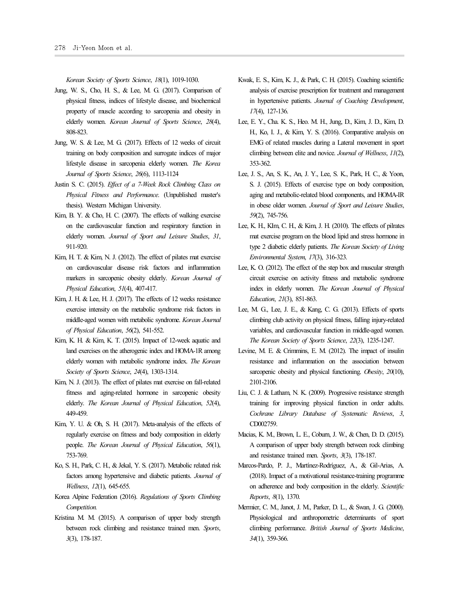*Korean Society of Sports Science*, *18*(1), 1019-1030.

- Jung, W. S., Cho, H. S., & Lee, M. G. (2017). Comparison of physical fitness, indices of lifestyle disease, and biochemical property of muscle according to sarcopenia and obesity in elderly women. *Korean Journal of Sports Science*, *28*(4), 808-823.
- Jung, W. S. & Lee, M. G. (2017). Effects of 12 weeks of circuit training on body composition and surrogate indices of major lifestyle disease in sarcopenia elderly women. *The Korea Journal of Sports Science*, *26*(6), 1113-1124
- Justin S. C. (2015). *Effect of a 7-Week Rock Climbing Class on Physical Fitness and Performance*. (Unpublished master's thesis). Western Michigan University.
- Kim, B. Y. & Cho, H. C. (2007). The effects of walking exercise on the cardiovascular function and respiratory function in elderly women. *Journal of Sport and Leisure Studies*, *<sup>31</sup>*, 911-920.
- Kim, H. T. & Kim, N. J. (2012). The effect of pilates mat exercise on cardiovascular disease risk factors and inflammation markers in sarcopenic obesity elderly. *Korean Journal of Physical Education*, *51*(4), 407-417.
- Kim, J. H. & Lee, H. J. (2017). The effects of 12 weeks resistance exercise intensity on the metabolic syndrome risk factors in middle-aged women with metabolic syndrome. *Korean Journal of Physical Education*, *56*(2), 541-552.
- Kim, K. H. & Kim, K. T. (2015). Impact of 12-week aquatic and land exercises on the atherogenic index and HOMA-1R among elderly women with metabolic syndrome index. *The Korean Society of Sports Science*, *24*(4), 1303-1314.
- Kim, N. J. (2013). The effect of pilates mat exercise on fall-related fitness and aging-related hormone in sarcopenic obesity elderly. *The Korean Journal of Physical Education*, *52*(4), 449-459.
- Kim, Y. U. & Oh, S. H. (2017). Meta-analysis of the effects of regularly exercise on fitness and body composition in elderly people. *The Korean Journal of Physical Education*, *56*(1), 753-769.
- Ko, S. H., Park, C. H., & Jekal, Y. S. (2017). Metabolic related risk factors among hypertensive and diabetic patients. *Journal of Wellness*, *12*(1), 645-655.
- Korea Alpine Federation (2016). *Regulations of Sports Climbing Competition.*
- Kristina M. M. (2015). A comparison of upper body strength between rock climbing and resistance trained men. *Sports*, *3*(3), 178-187.
- Kwak, E. S., Kim, K. J., & Park, C. H. (2015). Coaching scientific analysis of exercise prescription for treatment and management in hypertensive patients. *Journal of Coaching Development*, *17*(4), 127-136.
- Lee, E. Y., Cha. K. S., Heo. M. H., Jung, D., Kim, J. D., Kim, D. H., Ko, I. J., & Kim, Y. S. (2016). Comparative analysis on EMG of related muscles during a Lateral movement in sport climbing between elite and novice. *Journal of Wellness*, *11*(2), 353-362.
- Lee, J. S., An, S. K., An, J. Y., Lee, S. K., Park, H. C., & Yoon, S. J. (2015). Effects of exercise type on body composition, aging and metabolic-related blood components, and HOMA-IR in obese older women. *Journal of Sport and Leisure Studies*, *59*(2), 745-756.
- Lee, K. H., KIm, C. H., & Kim, J. H. (2010). The effects of pilrates mat exercise program on the blood lipid and stress hormone in type 2 diabetic elderly patients. *The Korean Society of Living Environmental System*, *17*(3), 316-323.
- Lee, K. O. (2012). The effect of the step box and muscular strength circuit exercise on activity fitness and metabolic syndrome index in elderly women. *The Korean Journal of Physical Education*, *21*(3), 851-863.
- Lee, M. G., Lee, J. E., & Kang, C. G. (2013). Effects of sports climbing club activity on physical fitness, falling injury-related variables, and cardiovascular function in middle-aged women. *The Korean Society of Sports Science*, *22*(3), 1235-1247.
- Levine, M. E. & Crimmins, E. M. (2012). The impact of insulin resistance and inflammation on the association between sarcopenic obesity and physical functioning. *Obesity*, *20*(10), 2101-2106.
- Liu, C. J. & Latham, N. K. (2009). Progressive resistance strength training for improving physical function in order adults. *Cochrane Library Database of Systematic Reviews*, *<sup>3</sup>*, CD002759.
- Macias, K. M., Brown, L. E., Coburn, J. W., & Chen, D. D. (2015). A comparison of upper body strength between rock climbing and resistance trained men. *Sports*, *3*(3), 178-187.
- Marcos-Pardo, P. J., Martínez-Rodríguez, A., & Gil-Arias, A. (2018). Impact of a motivational resistance-training programme on adherence and body composition in the elderly. *Scientific Reports*, *8*(1), 1370.
- Mermier, C. M., Janot, J. M., Parker, D. L., & Swan, J. G. (2000). Physiological and anthropometric determinants of sport climbing performance. *British Journal of Sports Medicine*, *34*(1), 359-366.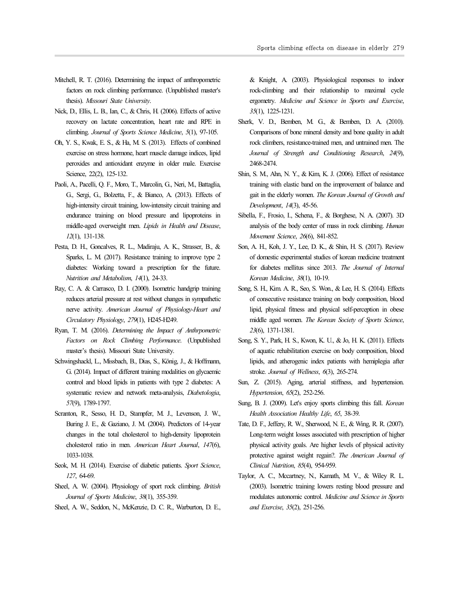- Mitchell, R. T. (2016). Determining the impact of anthropometric factors on rock climbing performance. (Unpublished master's thesis). *Missouri State University*.
- Nick, D., Ellis, L. B., Ian, C., & Chris, H. (2006). Effects of active recovery on lactate concentration, heart rate and RPE in climbing. *Journal of Sports Science Medicine*, *5*(1), 97-105.
- Oh, Y. S., Kwak, E. S., & Ha, M. S. (2013). Effects of combined exercise on stress hormone, heart muscle damage indices, lipid peroxides and antioxidant enzyme in older male. Exercise Science, 22(2), 125-132.
- Paoli, A., Pacelli, Q. F., Moro, T., Marcolin, G., Neri, M., Battaglia, G., Sergi, G., Bolzetta, F., & Bianco, A. (2013). Effects of high-intensity circuit training, low-intensity circuit training and endurance training on blood pressure and lipoproteins in middle-aged overweight men. *Lipids in Health and Disease*, *12*(1), 131-138.
- Pesta, D. H., Goncalves, R. L., Madiraju, A. K., Strasser, B., & Sparks, L. M. (2017). Resistance training to improve type 2 diabetes: Working toward a prescription for the future. *Nutrition and Metabolism*, *14*(1), 24-33.
- Ray, C. A. & Carrasco, D. I. (2000). Isometric handgrip training reduces arterial pressure at rest without changes in sympathetic nerve activity. *American Journal of Physiology-Heart and Circulatory Physiology*, *279*(1), H245-H249.
- Ryan, T. M. (2016). *Determining the Impact of Anthrpometric Factors on Rock Climbing Performance*. (Unpublished master's thesis). Missouri State University.
- Schwingshackl, L., Missbach, B., Dias, S., König, J., & Hoffmann, G. (2014). Impact of different training modalities on glycaemic control and blood lipids in patients with type 2 diabetes: A systematic review and network meta-analysis, *Diabetologia*, *57*(9), 1789-1797.
- Scranton, R., Sesso, H. D., Stampfer, M. J., Levenson, J. W., Buring J. E., & Gaziano, J. M. (2004). Predictors of 14-year changes in the total cholesterol to high-density lipoprotein cholesterol ratio in men. *American Heart Journal*, *147*(6), 1033-1038.
- Seok, M. H. (2014). Exercise of diabetic patients. *Sport Science*, *127*, 64-69.
- Sheel, A. W. (2004). Physiology of sport rock climbing. *British Journal of Sports Medicine*, *38*(1), 355-359.
- Sheel, A. W., Seddon, N., McKenzie, D. C. R., Warburton, D. E.,

& Knight, A. (2003). Physiological responses to indoor rock-climbing and their relationship to maximal cycle ergometry. *Medicine and Science in Sports and Exercise*, *35*(1), 1225-1231.

- Sherk, V. D., Bemben, M. G., & Bemben, D. A. (2010). Comparisons of bone mineral density and bone quality in adult rock climbers, resistance-trained men, and untrained men. The *Journal of Strength and Conditioning Research*, *24*(9), 2468-2474.
- Shin, S. M., Ahn, N. Y., & Kim, K. J. (2006). Effect of resistance training with elastic band on the improvement of balance and gait in the elderly women. *The Korean Journal of Growth and Development*, *14*(3), 45-56.
- Sibella, F., Frosio, I., Schena, F., & Borghese, N. A. (2007). 3D analysis of the body center of mass in rock climbing. *Human Movement Science*, *26*(6), 841-852.
- Son, A. H., Koh, J. Y., Lee, D. K., & Shin, H. S. (2017). Review of domestic experimental studies of korean medicine treatment for diabetes mellitus since 2013. *The Journal of Internal Korean Medicine*, *38*(1), 10-19.
- Song, S. H., Kim. A. R., Seo, S. Won., & Lee, H. S. (2014). Effects of consecutive resistance training on body composition, blood lipid, physical fitness and physical self-perception in obese middle aged women. *The Korean Society of Sports Science*, *23*(6), 1371-1381.
- Song, S. Y., Park, H. S., Kwon, K. U., & Jo, H. K. (2011). Effects of aquatic rehabilitation exercise on body composition, blood lipids, and atherogenic index patients with hemiplegia after stroke. *Journal of Wellness*, *6*(3), 265-274.
- Sun, Z. (2015). Aging, arterial stiffness, and hypertension. *Hypertension*, *65*(2), 252-256.
- Sung, B. J. (2009). Let's enjoy sports climbing this fall. *Korean Health Association Healthy Life*, *65*, 38-39.
- Tate, D. F., Jeffery, R. W., Sherwood, N. E., & Wing, R. R. (2007). Long-term weight losses associated with prescription of higher physical activity goals. Are higher levels of physical activity protective against weight regain?. *The American Journal of Clinical Nutrition*, *85*(4), 954-959.
- Taylor, A. C., Mccartney, N., Kamath, M. V., & Wiley R. L. (2003). Isometric training lowers resting blood pressure and modulates autonomic control. *Medicine and Science in Sports and Exercise*, *35*(2), 251-256.